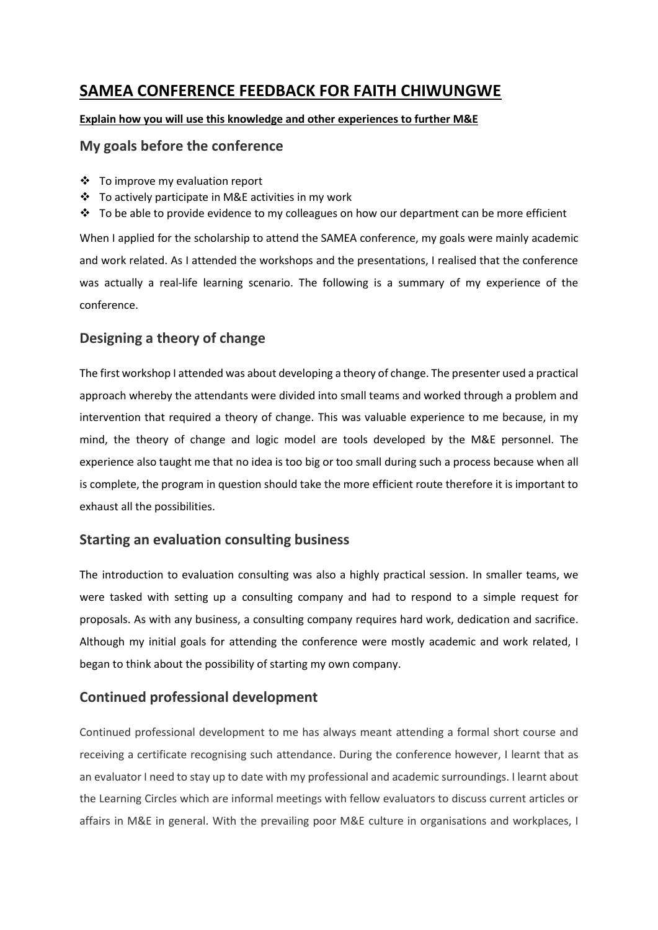# **SAMEA CONFERENCE FEEDBACK FOR FAITH CHIWUNGWE**

#### **Explain how you will use this knowledge and other experiences to further M&E**

#### **My goals before the conference**

- ❖ To improve my evaluation report
- ❖ To actively participate in M&E activities in my work
- ❖ To be able to provide evidence to my colleagues on how our department can be more efficient

When I applied for the scholarship to attend the SAMEA conference, my goals were mainly academic and work related. As I attended the workshops and the presentations, I realised that the conference was actually a real-life learning scenario. The following is a summary of my experience of the conference.

# **Designing a theory of change**

The first workshop I attended was about developing a theory of change. The presenter used a practical approach whereby the attendants were divided into small teams and worked through a problem and intervention that required a theory of change. This was valuable experience to me because, in my mind, the theory of change and logic model are tools developed by the M&E personnel. The experience also taught me that no idea is too big or too small during such a process because when all is complete, the program in question should take the more efficient route therefore it is important to exhaust all the possibilities.

### **Starting an evaluation consulting business**

The introduction to evaluation consulting was also a highly practical session. In smaller teams, we were tasked with setting up a consulting company and had to respond to a simple request for proposals. As with any business, a consulting company requires hard work, dedication and sacrifice. Although my initial goals for attending the conference were mostly academic and work related, I began to think about the possibility of starting my own company.

### **Continued professional development**

Continued professional development to me has always meant attending a formal short course and receiving a certificate recognising such attendance. During the conference however, I learnt that as an evaluator I need to stay up to date with my professional and academic surroundings. I learnt about the Learning Circles which are informal meetings with fellow evaluators to discuss current articles or affairs in M&E in general. With the prevailing poor M&E culture in organisations and workplaces, I